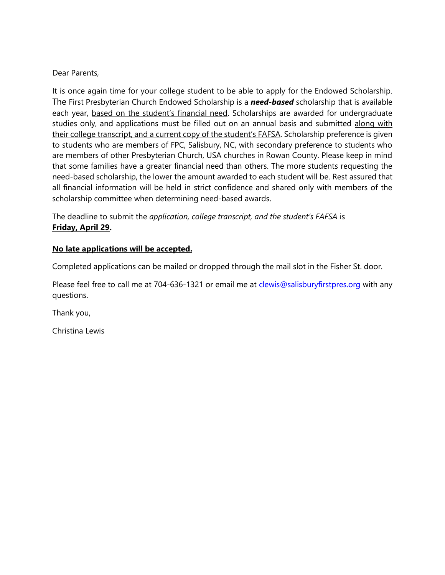## Dear Parents,

It is once again time for your college student to be able to apply for the Endowed Scholarship. The First Presbyterian Church Endowed Scholarship is a *need-based* scholarship that is available each year, based on the student's financial need. Scholarships are awarded for undergraduate studies only, and applications must be filled out on an annual basis and submitted along with their college transcript, and a current copy of the student's FAFSA. Scholarship preference is given to students who are members of FPC, Salisbury, NC, with secondary preference to students who are members of other Presbyterian Church, USA churches in Rowan County. Please keep in mind that some families have a greater financial need than others. The more students requesting the need-based scholarship, the lower the amount awarded to each student will be. Rest assured that all financial information will be held in strict confidence and shared only with members of the scholarship committee when determining need-based awards.

The deadline to submit the *application, college transcript, and the student's FAFSA* is **Friday, April 29.**

## **No late applications will be accepted.**

Completed applications can be mailed or dropped through the mail slot in the Fisher St. door.

Please feel free to call me at 704-636-1321 or email me at [clewis@salisburyfirstpres.org](mailto:clewis@salisburyfirstpres.org) with any questions.

Thank you,

Christina Lewis